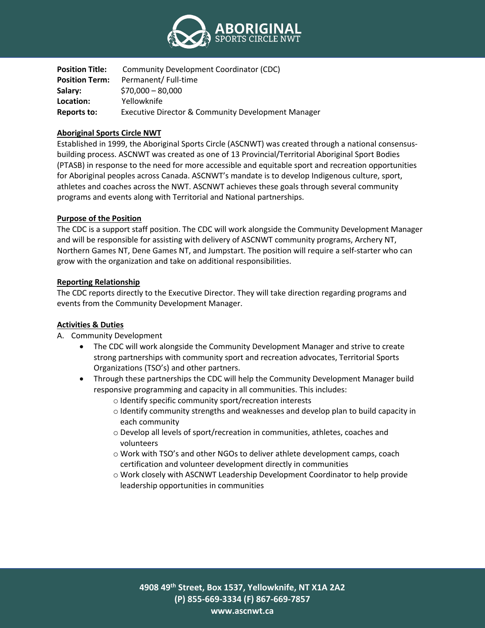

| <b>Position Title:</b> | Community Development Coordinator (CDC)                       |
|------------------------|---------------------------------------------------------------|
| <b>Position Term:</b>  | Permanent/ Full-time                                          |
| Salary:                | $$70,000 - 80,000$                                            |
| Location:              | Yellowknife                                                   |
| Reports to:            | <b>Executive Director &amp; Community Development Manager</b> |

### **Aboriginal Sports Circle NWT**

Established in 1999, the Aboriginal Sports Circle (ASCNWT) was created through a national consensusbuilding process. ASCNWT was created as one of 13 Provincial/Territorial Aboriginal Sport Bodies (PTASB) in response to the need for more accessible and equitable sport and recreation opportunities for Aboriginal peoples across Canada. ASCNWT's mandate is to develop Indigenous culture, sport, athletes and coaches across the NWT. ASCNWT achieves these goals through several community programs and events along with Territorial and National partnerships.

# **Purpose of the Position**

The CDC is a support staff position. The CDC will work alongside the Community Development Manager and will be responsible for assisting with delivery of ASCNWT community programs, Archery NT, Northern Games NT, Dene Games NT, and Jumpstart. The position will require a self-starter who can grow with the organization and take on additional responsibilities.

### **Reporting Relationship**

The CDC reports directly to the Executive Director. They will take direction regarding programs and events from the Community Development Manager.

### **Activities & Duties**

- A. Community Development
	- The CDC will work alongside the Community Development Manager and strive to create strong partnerships with community sport and recreation advocates, Territorial Sports Organizations (TSO's) and other partners.
	- Through these partnerships the CDC will help the Community Development Manager build responsive programming and capacity in all communities. This includes:
		- o Identify specific community sport/recreation interests
		- $\circ$  Identify community strengths and weaknesses and develop plan to build capacity in each community
		- o Develop all levels of sport/recreation in communities, athletes, coaches and volunteers
		- o Work with TSO's and other NGOs to deliver athlete development camps, coach certification and volunteer development directly in communities
		- o Work closely with ASCNWT Leadership Development Coordinator to help provide leadership opportunities in communities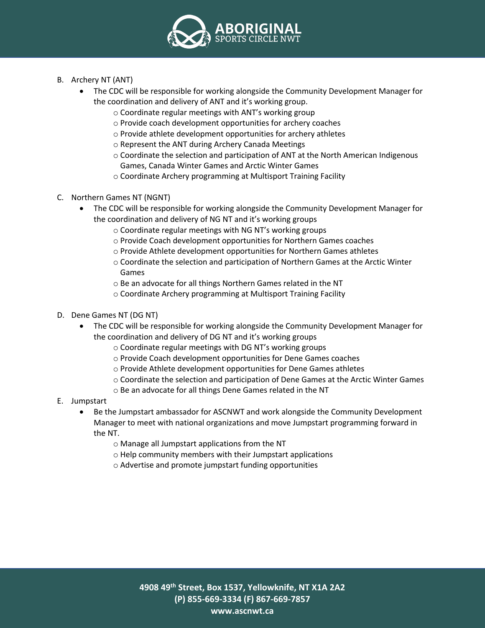

- B. Archery NT (ANT)
	- The CDC will be responsible for working alongside the Community Development Manager for the coordination and delivery of ANT and it's working group.
		- o Coordinate regular meetings with ANT's working group
		- o Provide coach development opportunities for archery coaches
		- o Provide athlete development opportunities for archery athletes
		- o Represent the ANT during Archery Canada Meetings
		- o Coordinate the selection and participation of ANT at the North American Indigenous Games, Canada Winter Games and Arctic Winter Games
		- o Coordinate Archery programming at Multisport Training Facility
- C. Northern Games NT (NGNT)
	- The CDC will be responsible for working alongside the Community Development Manager for the coordination and delivery of NG NT and it's working groups
		- o Coordinate regular meetings with NG NT's working groups
		- o Provide Coach development opportunities for Northern Games coaches
		- o Provide Athlete development opportunities for Northern Games athletes
		- o Coordinate the selection and participation of Northern Games at the Arctic Winter Games
		- o Be an advocate for all things Northern Games related in the NT
		- o Coordinate Archery programming at Multisport Training Facility
- D. Dene Games NT (DG NT)
	- The CDC will be responsible for working alongside the Community Development Manager for the coordination and delivery of DG NT and it's working groups
		- o Coordinate regular meetings with DG NT's working groups
		- o Provide Coach development opportunities for Dene Games coaches
		- o Provide Athlete development opportunities for Dene Games athletes
		- o Coordinate the selection and participation of Dene Games at the Arctic Winter Games
		- o Be an advocate for all things Dene Games related in the NT
- E. Jumpstart
	- Be the Jumpstart ambassador for ASCNWT and work alongside the Community Development Manager to meet with national organizations and move Jumpstart programming forward in the NT.
		- o Manage all Jumpstart applications from the NT
		- o Help community members with their Jumpstart applications
		- o Advertise and promote jumpstart funding opportunities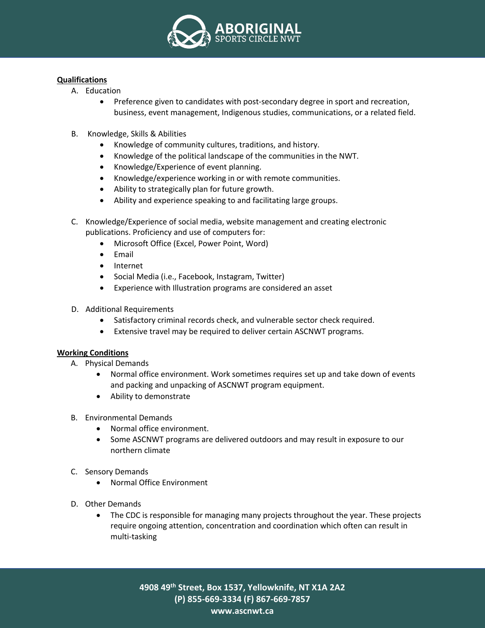

## **Qualifications**

- A. Education
	- Preference given to candidates with post-secondary degree in sport and recreation, business, event management, Indigenous studies, communications, or a related field.
- B. Knowledge, Skills & Abilities
	- Knowledge of community cultures, traditions, and history.
	- Knowledge of the political landscape of the communities in the NWT.
	- Knowledge/Experience of event planning.
	- Knowledge/experience working in or with remote communities.
	- Ability to strategically plan for future growth.
	- Ability and experience speaking to and facilitating large groups.
- C. Knowledge/Experience of social media, website management and creating electronic publications. Proficiency and use of computers for:
	- Microsoft Office (Excel, Power Point, Word)
	- Email
	- Internet
	- Social Media (i.e., Facebook, Instagram, Twitter)
	- Experience with Illustration programs are considered an asset
- D. Additional Requirements
	- Satisfactory criminal records check, and vulnerable sector check required.
	- Extensive travel may be required to deliver certain ASCNWT programs.

### **Working Conditions**

- A. Physical Demands
	- Normal office environment. Work sometimes requires set up and take down of events and packing and unpacking of ASCNWT program equipment.
	- Ability to demonstrate
- B. Environmental Demands
	- Normal office environment.
	- Some ASCNWT programs are delivered outdoors and may result in exposure to our northern climate
- C. Sensory Demands
	- Normal Office Environment
- D. Other Demands
	- The CDC is responsible for managing many projects throughout the year. These projects require ongoing attention, concentration and coordination which often can result in multi-tasking

**4908 49th Street, Box 1537, Yellowknife, NT X1A 2A2 (P) 855-669-3334 (F) 867-669-7857 www.ascnwt.ca**